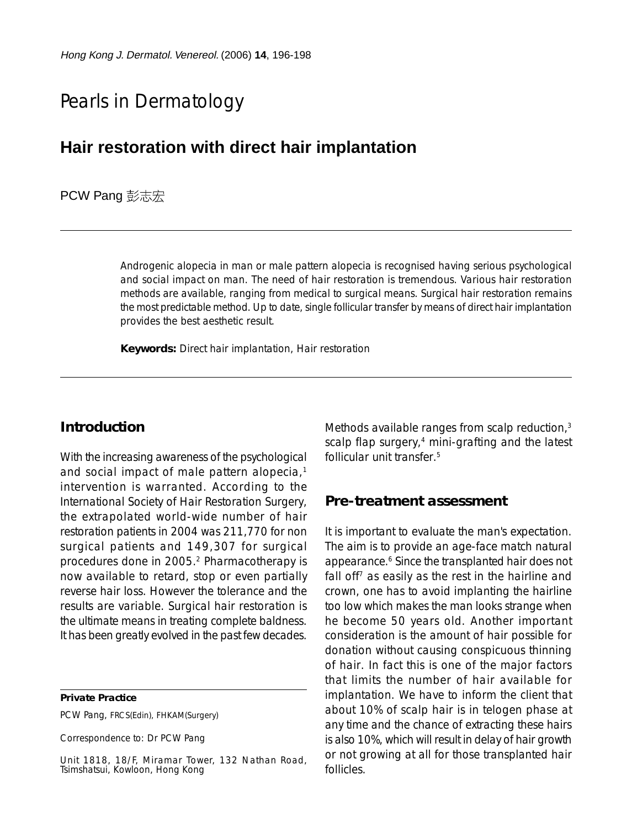# Pearls in Dermatology

## **Hair restoration with direct hair implantation**

**PCW Pang** 彭志宏

Androgenic alopecia in man or male pattern alopecia is recognised having serious psychological and social impact on man. The need of hair restoration is tremendous. Various hair restoration methods are available, ranging from medical to surgical means. Surgical hair restoration remains the most predictable method. Up to date, single follicular transfer by means of direct hair implantation provides the best aesthetic result.

**Keywords:** Direct hair implantation, Hair restoration

#### **Introduction**

With the increasing awareness of the psychological and social impact of male pattern alopecia,<sup>1</sup> intervention is warranted. According to the International Society of Hair Restoration Surgery, the extrapolated world-wide number of hair restoration patients in 2004 was 211,770 for non surgical patients and 149,307 for surgical procedures done in 2005.2 Pharmacotherapy is now available to retard, stop or even partially reverse hair loss. However the tolerance and the results are variable. Surgical hair restoration is the ultimate means in treating complete baldness. It has been greatly evolved in the past few decades.

**Private Practice**

PCW Pang, FRCS(Edin), FHKAM(Surgery)

Correspondence to: Dr PCW Pang

Unit 1818, 18/F, Miramar Tower, 132 Nathan Road, Tsimshatsui, Kowloon, Hong Kong

Methods available ranges from scalp reduction,<sup>3</sup> scalp flap surgery, $4$  mini-grafting and the latest follicular unit transfer.5

#### **Pre-treatment assessment**

It is important to evaluate the man's expectation. The aim is to provide an age-face match natural appearance.6 Since the transplanted hair does not fall off<sup>7</sup> as easily as the rest in the hairline and crown, one has to avoid implanting the hairline too low which makes the man looks strange when he become 50 years old. Another important consideration is the amount of hair possible for donation without causing conspicuous thinning of hair. In fact this is one of the major factors that limits the number of hair available for implantation. We have to inform the client that about 10% of scalp hair is in telogen phase at any time and the chance of extracting these hairs is also 10%, which will result in delay of hair growth or not growing at all for those transplanted hair follicles.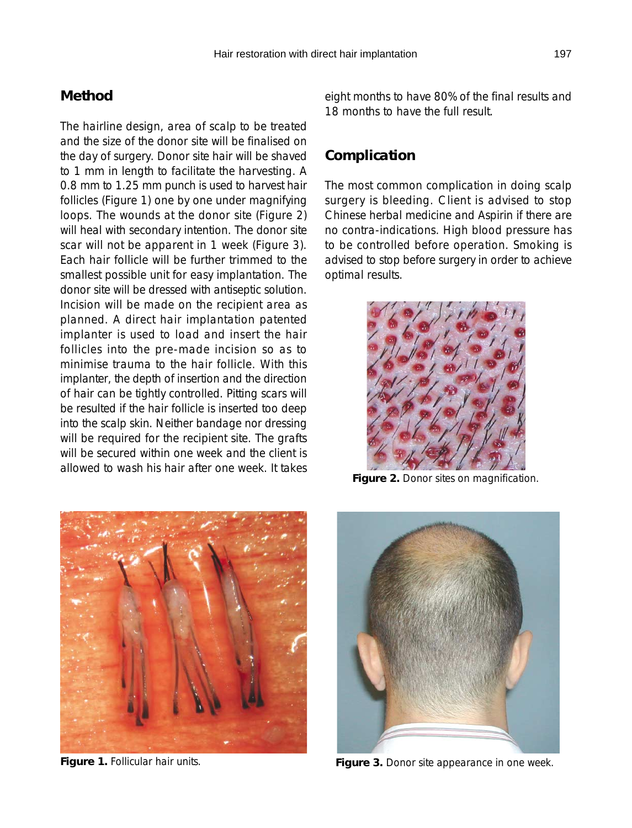#### **Method**

The hairline design, area of scalp to be treated and the size of the donor site will be finalised on the day of surgery. Donor site hair will be shaved to 1 mm in length to facilitate the harvesting. A 0.8 mm to 1.25 mm punch is used to harvest hair follicles (Figure 1) one by one under magnifying loops. The wounds at the donor site (Figure 2) will heal with secondary intention. The donor site scar will not be apparent in 1 week (Figure 3). Each hair follicle will be further trimmed to the smallest possible unit for easy implantation. The donor site will be dressed with antiseptic solution. Incision will be made on the recipient area as planned. A direct hair implantation patented implanter is used to load and insert the hair follicles into the pre-made incision so as to minimise trauma to the hair follicle. With this implanter, the depth of insertion and the direction of hair can be tightly controlled. Pitting scars will be resulted if the hair follicle is inserted too deep into the scalp skin. Neither bandage nor dressing will be required for the recipient site. The grafts will be secured within one week and the client is allowed to wash his hair after one week. It takes

**Figure 1.** Follicular hair units.

eight months to have 80% of the final results and 18 months to have the full result.

### **Complication**

The most common complication in doing scalp surgery is bleeding. Client is advised to stop Chinese herbal medicine and Aspirin if there are no contra-indications. High blood pressure has to be controlled before operation. Smoking is advised to stop before surgery in order to achieve optimal results.



**Figure 2.** Donor sites on magnification.



**Figure 3.** Donor site appearance in one week.